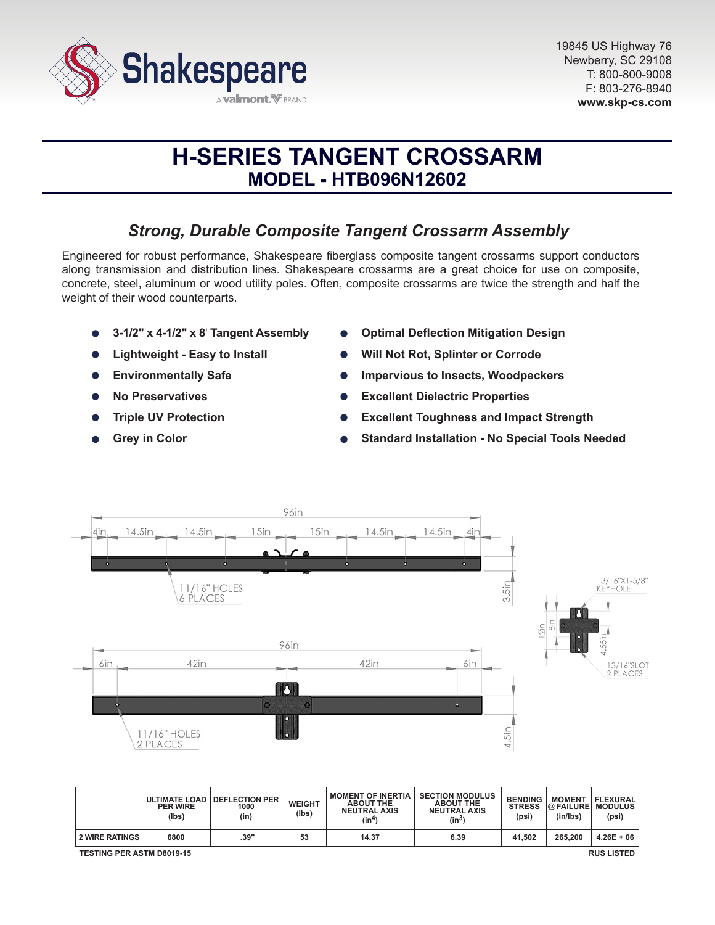

# **H-SERIES TANGENT CROSSARM MODEL - HTB096N12602**

# *Strong, Durable Composite Tangent Crossarm Assembly*

Engineered for robust performance, Shakespeare fiberglass composite tangent crossarms support conductors along transmission and distribution lines. Shakespeare crossarms are a great choice for use on composite, concrete, steel, aluminum or wood utility poles. Often, composite crossarms are twice the strength and half the weight of their wood counterparts.

- **3-1/2" x 4-1/2" x 8**' **Tangent Assembly**
- **Lightweight Easy to Install**
- **Environmentally Safe**  $\bullet$
- **No Preservatives**
- **Triple UV Protection**
- **Grey in Color**
- **Optimal Deflection Mitigation Design**
- **Will Not Rot, Splinter or Corrode**
- **Impervious to Insects, Woodpeckers**
- **Excellent Dielectric Properties**  $\bullet$
- **Excellent Toughness and Impact Strength**
- **Standard Installation No Special Tools Needed**



|                                                       | <b>PER WIRE</b><br>(lbs) | ULTIMATE LOAD   DEFLECTION PER<br>1000<br>(in) | WEIGHT<br>(Ibs) | <b>I MOMENT OF INERTIA</b><br><b>ABOUT THE</b><br><b>NEUTRAL AXIS</b><br>(in <sup>4</sup> ) | <b>SECTION MODULUS</b><br><b>ABOUT THE</b><br><b>NEUTRAL AXIS</b><br>$(in^3)$ | <b>BENDING</b><br><b>STRESS</b><br>(psi) | <b>MOMENT</b><br><b>@ FAILURE MODULUS</b><br>(in/lbs) | FLEXURAL<br>(psi) |
|-------------------------------------------------------|--------------------------|------------------------------------------------|-----------------|---------------------------------------------------------------------------------------------|-------------------------------------------------------------------------------|------------------------------------------|-------------------------------------------------------|-------------------|
| 2 WIRE RATINGS                                        | 6800                     | .39"                                           | 53              | 14.37                                                                                       | 6.39                                                                          | 41.502                                   | 265.200                                               | $4.26E + 06$      |
| <b>TESTING PER ASTM D8019-15</b><br><b>RUS LISTED</b> |                          |                                                |                 |                                                                                             |                                                                               |                                          |                                                       |                   |